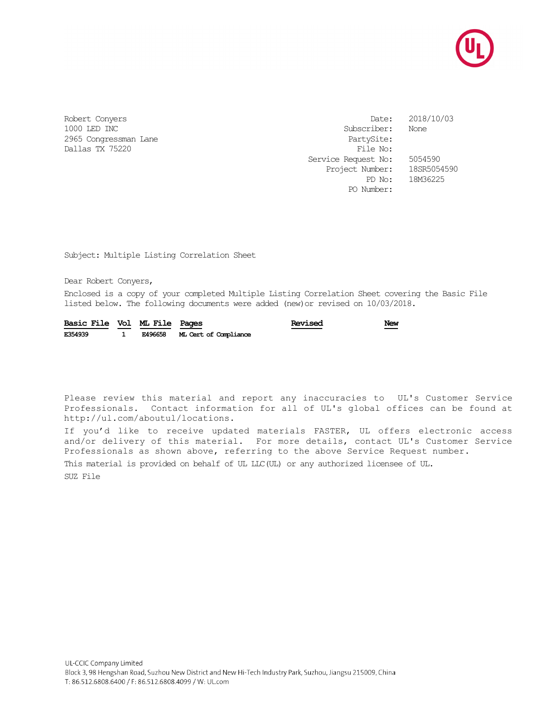

2965 Congressman Lane PartySite: Dallas TX 75220 File No:

Robert Conyers Date: 2018/10/03 1000 LED INC Subscriber: None Service Request No: 5054590 Project Number: 18SR5054590 PD No: 18M36225 PO Number:

Subject: Multiple Listing Correlation Sheet

Dear Robert Conyers,

Enclosed is a copy of your completed Multiple Listing Correlation Sheet covering the Basic File listed below. The following documents were added (new)or revised on 10/03/2018.

| Basic File Vol ML File Pages |  |                               | Revised | New |
|------------------------------|--|-------------------------------|---------|-----|
| E354939                      |  | E496658 ML Cert of Compliance |         |     |

Please review this material and report any inaccuracies to UL's Customer Service Professionals. Contact information for all of UL's global offices can be found at http://ul.com/aboutul/locations.

If you'd like to receive updated materials FASTER, UL offers electronic access and/or delivery of this material. For more details, contact UL's Customer Service Professionals as shown above, referring to the above Service Request number.

This material is provided on behalf of UL LLC(UL) or any authorized licensee of UL.

SUZ File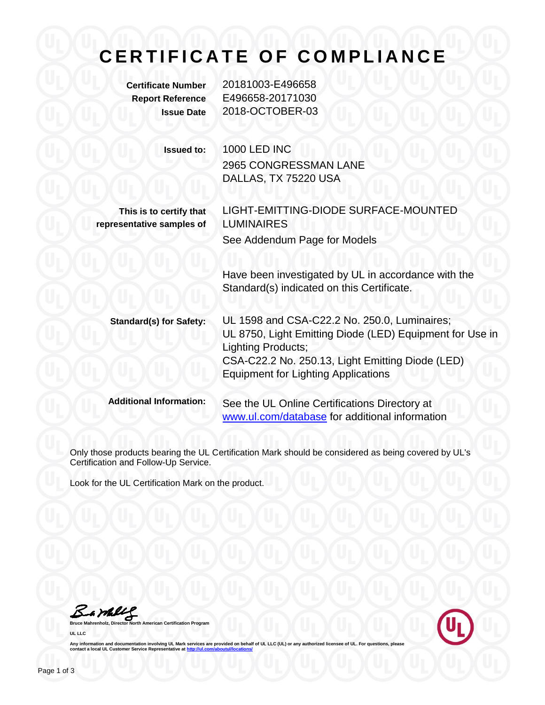## **CERTIFICATE OF COMPLIANCE**

| <b>Certificate Number</b><br><b>Report Reference</b><br><b>Issue Date</b> | 20181003-E496658<br>E496658-20171030<br>2018-OCTOBER-03                                                                                                                                                                                 |
|---------------------------------------------------------------------------|-----------------------------------------------------------------------------------------------------------------------------------------------------------------------------------------------------------------------------------------|
| <b>Issued to:</b>                                                         | <b>1000 LED INC</b><br>2965 CONGRESSMAN LANE<br>DALLAS, TX 75220 USA                                                                                                                                                                    |
| This is to certify that<br>representative samples of                      | LIGHT-EMITTING-DIODE SURFACE-MOUNTED<br><b>LUMINAIRES</b><br>See Addendum Page for Models                                                                                                                                               |
|                                                                           | Have been investigated by UL in accordance with the<br>Standard(s) indicated on this Certificate.                                                                                                                                       |
| <b>Standard(s) for Safety:</b>                                            | UL 1598 and CSA-C22.2 No. 250.0, Luminaires;<br>UL 8750, Light Emitting Diode (LED) Equipment for Use in<br><b>Lighting Products;</b><br>CSA-C22.2 No. 250.13, Light Emitting Diode (LED)<br><b>Equipment for Lighting Applications</b> |
| <b>Additional Information:</b>                                            | See the UL Online Certifications Directory at<br>www.ul.com/database for additional information                                                                                                                                         |

Only those products bearing the UL Certification Mark should be considered as being covered by UL's Certification and Follow-Up Service.

Look for the UL Certification Mark on the product.

**Bruce Mahrenholz, Director North American Certification Program** 

**UL LLC**



Any information and documentation involving UL Mark services are provided on behalf of UL LLC (UL) or any authorized licensee of UL. For questions, please<br>contact a local UL Customer Service Representative at <u>http://ul.co</u>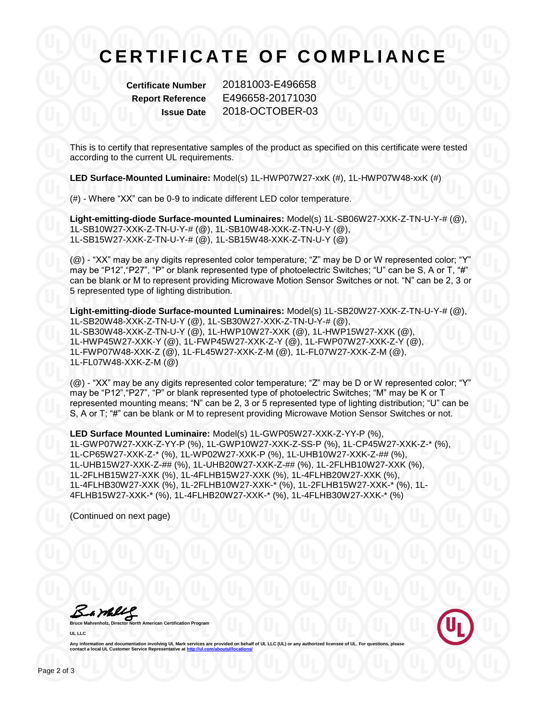## **C E R T I F I C A T E O F C O M P L I A N C E**

**Certificate Number** 20181003-E496658 **Report Reference** E496658-20171030 **Issue Date** 2018-OCTOBER-03

This is to certify that representative samples of the product as specified on this certificate were tested according to the current UL requirements.

**LED Surface-Mounted Luminaire:** Model(s) 1L-HWP07W27-xxK (#), 1L-HWP07W48-xxK (#)

(#) - Where "XX" can be 0-9 to indicate different LED color temperature.

**Light-emitting-diode Surface-mounted Luminaires:** Model(s) 1L-SB06W27-XXK-Z-TN-U-Y-# (@), 1L-SB10W27-XXK-Z-TN-U-Y-# (@), 1L-SB10W48-XXK-Z-TN-U-Y (@), 1L-SB15W27-XXK-Z-TN-U-Y-# (@), 1L-SB15W48-XXK-Z-TN-U-Y (@)

(@) - "XX" may be any digits represented color temperature; "Z" may be D or W represented color; "Y" may be "P12", "P27", "P" or blank represented type of photoelectric Switches; "U" can be S, A or T, "#" can be blank or M to represent providing Microwave Motion Sensor Switches or not. "N" can be 2, 3 or 5 represented type of lighting distribution.

**Light-emitting-diode Surface-mounted Luminaires:** Model(s) 1L-SB20W27-XXK-Z-TN-U-Y-# (@), 1L-SB20W48-XXK-Z-TN-U-Y (@), 1L-SB30W27-XXK-Z-TN-U-Y-# (@), 1L-SB30W48-XXK-Z-TN-U-Y (@), 1L-HWP10W27-XXK (@), 1L-HWP15W27-XXK (@), 1L-HWP45W27-XXK-Y (@), 1L-FWP45W27-XXK-Z-Y (@), 1L-FWP07W27-XXK-Z-Y (@), 1L-FWP07W48-XXK-Z (@), 1L-FL45W27-XXK-Z-M (@), 1L-FL07W27-XXK-Z-M (@), 1L-FL07W48-XXK-Z-M (@)

(@) - "XX" may be any digits represented color temperature; "Z" may be D or W represented color; "Y" may be "P12","P27", "P" or blank represented type of photoelectric Switches; "M" may be K or T represented mounting means; "N" can be 2, 3 or 5 represented type of lighting distribution; "U" can be S, A or T; "#" can be blank or M to represent providing Microwave Motion Sensor Switches or not.

**LED Surface Mounted Luminaire:** Model(s) 1L-GWP05W27-XXK-Z-YY-P (%), 1L-GWP07W27-XXK-Z-YY-P (%), 1L-GWP10W27-XXK-Z-SS-P (%), 1L-CP45W27-XXK-Z-\* (%), 1L-CP65W27-XXK-Z-\* (%), 1L-WP02W27-XXK-P (%), 1L-UHB10W27-XXK-Z-## (%), 1L-UHB15W27-XXK-Z-## (%), 1L-UHB20W27-XXK-Z-## (%), 1L-2FLHB10W27-XXK (%), 1L-2FLHB15W27-XXK (%), 1L-4FLHB15W27-XXK (%), 1L-4FLHB20W27-XXK (%), 1L-4FLHB30W27-XXK (%), 1L-2FLHB10W27-XXK-\* (%), 1L-2FLHB15W27-XXK-\* (%), 1L-4FLHB15W27-XXK-\* (%), 1L-4FLHB20W27-XXK-\* (%), 1L-4FLHB30W27-XXK-\* (%)

(Continued on next page)

Bamble

**American Certification Program UL LLC**



Any information and documentation involving UL Mark services are provided on behalf of UL LLC (UL) or any authorized licensee of UL. For questions, please<br>contact a local UL Customer Service Representative at <u>http://ul.co</u>